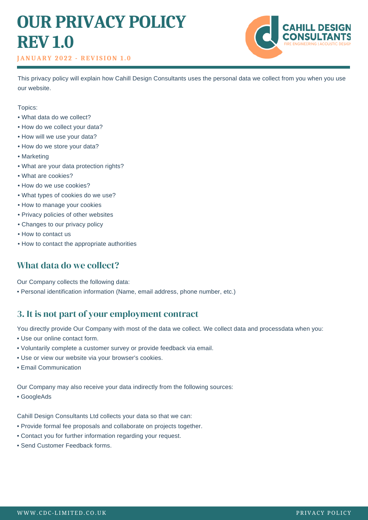# **OUR PRIVACY POLICY REV 1.0**

#### **JANUARY 2 0 2 2 - REVI S ION 1 . 0**



This privacy policy will explain how Cahill Design Consultants uses the personal data we collect from you when you use our website.

Topics:

- What data do we collect?
- How do we collect your data?
- How will we use your data?
- How do we store your data?
- Marketing
- What are your data protection rights?
- What are cookies?
- How do we use cookies?
- What types of cookies do we use?
- How to manage your cookies
- Privacy policies of other websites
- Changes to our privacy policy
- How to contact us
- How to contact the appropriate authorities

## What data do we collect?

Our Company collects the following data:

• Personal identification information (Name, email address, phone number, etc.)

## 3. It is not part of your employment contract

You directly provide Our Company with most of the data we collect. We collect data and processdata when you:

- Use our online contact form.
- Voluntarily complete a customer survey or provide feedback via email.
- Use or view our website via your browser's cookies.
- Email Communication

Our Company may also receive your data indirectly from the following sources:

• GoogleAds

Cahill Design Consultants Ltd collects your data so that we can:

- Provide formal fee proposals and collaborate on projects together.
- Contact you for further information regarding your request.
- Send Customer Feedback forms.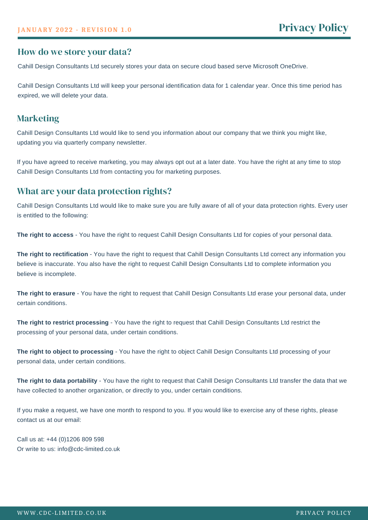## How do we store your data?

Cahill Design Consultants Ltd securely stores your data on secure cloud based serve Microsoft OneDrive.

Cahill Design Consultants Ltd will keep your personal identification data for 1 calendar year. Once this time period has expired, we will delete your data.

### **Marketing**

Cahill Design Consultants Ltd would like to send you information about our company that we think you might like, updating you via quarterly company newsletter.

If you have agreed to receive marketing, you may always opt out at a later date. You have the right at any time to stop Cahill Design Consultants Ltd from contacting you for marketing purposes.

### What are your data protection rights?

Cahill Design Consultants Ltd would like to make sure you are fully aware of all of your data protection rights. Every user is entitled to the following:

**The right to access** - You have the right to request Cahill Design Consultants Ltd for copies of your personal data.

**The right to rectification** - You have the right to request that Cahill Design Consultants Ltd correct any information you believe is inaccurate. You also have the right to request Cahill Design Consultants Ltd to complete information you believe is incomplete.

**The right to erasure** - You have the right to request that Cahill Design Consultants Ltd erase your personal data, under certain conditions.

**The right to restrict processing** - You have the right to request that Cahill Design Consultants Ltd restrict the processing of your personal data, under certain conditions.

**The right to object to processing** - You have the right to object Cahill Design Consultants Ltd processing of your personal data, under certain conditions.

**The right to data portability** - You have the right to request that Cahill Design Consultants Ltd transfer the data that we have collected to another organization, or directly to you, under certain conditions.

If you make a request, we have one month to respond to you. If you would like to exercise any of these rights, please contact us at our email:

Call us at: +44 (0)1206 809 598 Or write to us: info@cdc-limited.co.uk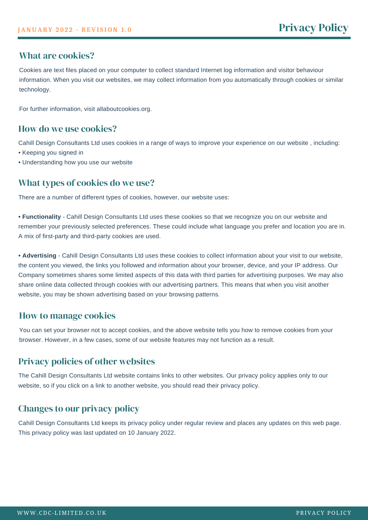### What are cookies?

Cookies are text files placed on your computer to collect standard Internet log information and visitor behaviour information. When you visit our websites, we may collect information from you automatically through cookies or similar technology.

For further information, visit allaboutcookies.org.

#### How do we use cookies?

Cahill Design Consultants Ltd uses cookies in a range of ways to improve your experience on our website , including:

- Keeping you signed in
- Understanding how you use our website

## What types of cookies do we use?

There are a number of different types of cookies, however, our website uses:

**• Functionality** - Cahill Design Consultants Ltd uses these cookies so that we recognize you on our website and remember your previously selected preferences. These could include what language you prefer and location you are in. A mix of first-party and third-party cookies are used.

**• Advertising** - Cahill Design Consultants Ltd uses these cookies to collect information about your visit to our website, the content you viewed, the links you followed and information about your browser, device, and your IP address. Our Company sometimes shares some limited aspects of this data with third parties for advertising purposes. We may also share online data collected through cookies with our advertising partners. This means that when you visit another website, you may be shown advertising based on your browsing patterns.

#### How to manage cookies

You can set your browser not to accept cookies, and the above website tells you how to remove cookies from your browser. However, in a few cases, some of our website features may not function as a result.

#### Privacy policies of other websites

The Cahill Design Consultants Ltd website contains links to other websites. Our privacy policy applies only to our website, so if you click on a link to another website, you should read their privacy policy.

## Changes to our privacy policy

Cahill Design Consultants Ltd keeps its privacy policy under regular review and places any updates on this web page. This privacy policy was last updated on 10 January 2022.